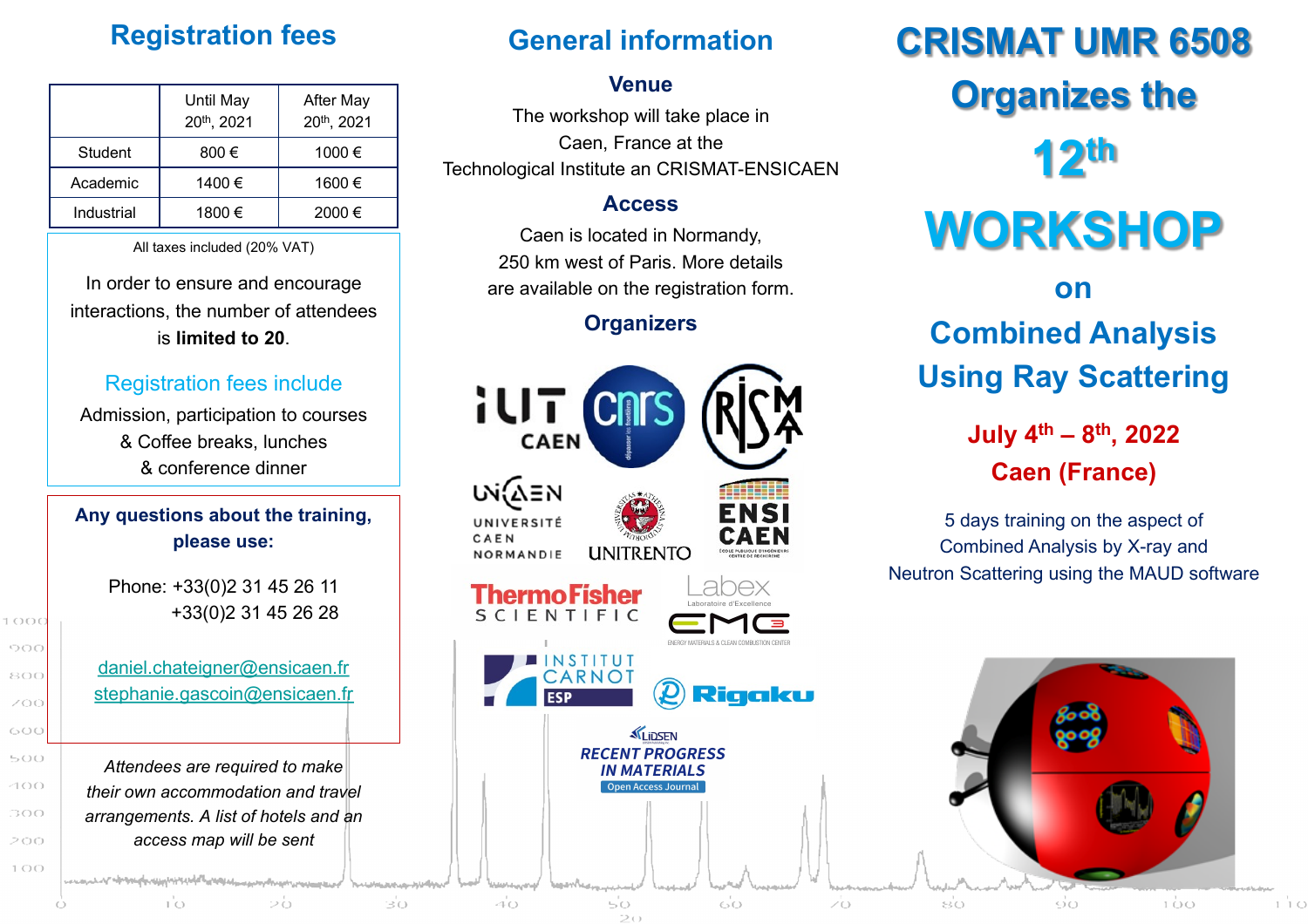## **Registration fees**

|            | Until May<br>20th, 2021 | <b>After May</b><br>20th, 2021 |
|------------|-------------------------|--------------------------------|
| Student    | 800€                    | 1000€                          |
| Academic   | 1400 €                  | 1600€                          |
| Industrial | 1800 €                  | 2000€                          |
|            |                         |                                |

All taxes included (20% VAT)

In order to ensure and encourage interactions, the number of attendees is **limited to 20**.

#### [Registration fees include](mailto:stephanie.gascoin@ensicaen.fr)

Admission, participation to courses & Coffee breaks, lunches & conference dinner

#### **Any questions about the training, please use:**

Phone: +33(0)2 31 45 26 11 +33(0)2 31 45 26 28

 $1000$ 000

800

ZOO 600

 $500$ 

400

300 200  $100$ 

daniel.chateigner@ensicaen.fr stephanie.gascoin@ensicaen.fr

*Attendees are required to make their own accommodation and travel arrangements. A list of hotels and an access map will be sent*

Σò

hamataktari<sup>n</sup> amaz

າ່ດ

# **General information**

# $CR$

#### **Venue**

The workshop will take place in Caen, France at the Technological Institute an CRISMAT-ENSICAEN

#### **Access**

Caen is located in Normandy, 250 km west of Paris. More details are available on the registration form.

#### **Organizers**

**W** 

# **Combined Analysis Using Ray Scattering**



50

ംഗ

ŽΘ

40

30

 $\epsilon$  $\mathsf C$ **Neutron**